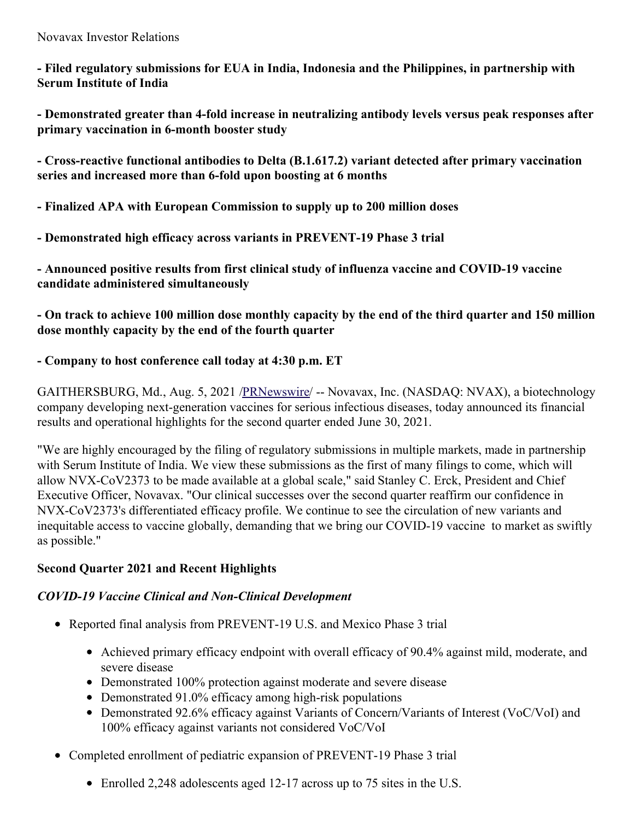Novavax Investor Relations

**- Filed regulatory submissions for EUA in India, Indonesia and the Philippines, in partnership with Serum Institute of India**

**- Demonstrated greater than 4-fold increase in neutralizing antibody levels versus peak responses after primary vaccination in 6-month booster study**

**- Cross-reactive functional antibodies to Delta (B.1.617.2) variant detected after primary vaccination series and increased more than 6-fold upon boosting at 6 months**

- **- Finalized APA with European Commission to supply up to 200 million doses**
- **- Demonstrated high efficacy across variants in PREVENT-19 Phase 3 trial**

**- Announced positive results from first clinical study of influenza vaccine and COVID-19 vaccine candidate administered simultaneously**

- On track to achieve 100 million dose monthly capacity by the end of the third quarter and 150 million **dose monthly capacity by the end of the fourth quarter**

### **- Company to host conference call today at 4:30 p.m. ET**

GAITHERSBURG, Md., Aug. 5, 2021 [/PRNewswire](http://www.prnewswire.com/)/ -- Novavax, Inc. (NASDAQ: NVAX), a biotechnology company developing next-generation vaccines for serious infectious diseases, today announced its financial results and operational highlights for the second quarter ended June 30, 2021.

"We are highly encouraged by the filing of regulatory submissions in multiple markets, made in partnership with Serum Institute of India. We view these submissions as the first of many filings to come, which will allow NVX-CoV2373 to be made available at a global scale," said Stanley C. Erck, President and Chief Executive Officer, Novavax. "Our clinical successes over the second quarter reaffirm our confidence in NVX-CoV2373's differentiated efficacy profile. We continue to see the circulation of new variants and inequitable access to vaccine globally, demanding that we bring our COVID-19 vaccine to market as swiftly as possible."

### **Second Quarter 2021 and Recent Highlights**

### *COVID-19 Vaccine Clinical and Non-Clinical Development*

- Reported final analysis from PREVENT-19 U.S. and Mexico Phase 3 trial
	- Achieved primary efficacy endpoint with overall efficacy of 90.4% against mild, moderate, and severe disease
	- Demonstrated 100% protection against moderate and severe disease
	- Demonstrated 91.0% efficacy among high-risk populations
	- Demonstrated 92.6% efficacy against Variants of Concern/Variants of Interest (VoC/VoI) and 100% efficacy against variants not considered VoC/VoI
- Completed enrollment of pediatric expansion of PREVENT-19 Phase 3 trial
	- Enrolled 2,248 adolescents aged 12-17 across up to 75 sites in the U.S.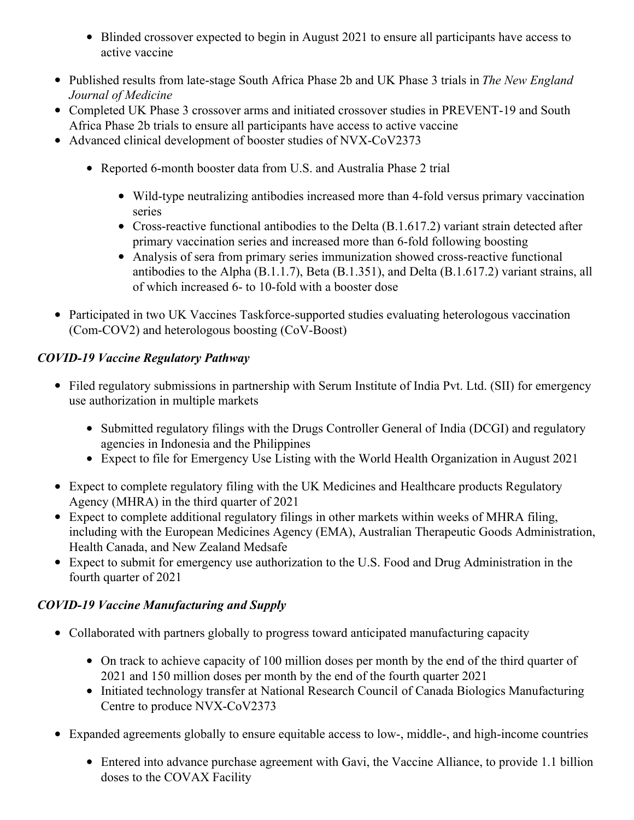- Blinded crossover expected to begin in August 2021 to ensure all participants have access to active vaccine
- Published results from late-stage South Africa Phase 2b and UK Phase 3 trials in *The New England Journal of Medicine*
- Completed UK Phase 3 crossover arms and initiated crossover studies in PREVENT-19 and South Africa Phase 2b trials to ensure all participants have access to active vaccine
- Advanced clinical development of booster studies of NVX-CoV2373
	- Reported 6-month booster data from U.S. and Australia Phase 2 trial
		- Wild-type neutralizing antibodies increased more than 4-fold versus primary vaccination series
		- Cross-reactive functional antibodies to the Delta (B.1.617.2) variant strain detected after primary vaccination series and increased more than 6-fold following boosting
		- Analysis of sera from primary series immunization showed cross-reactive functional antibodies to the Alpha (B.1.1.7), Beta (B.1.351), and Delta (B.1.617.2) variant strains, all of which increased 6- to 10-fold with a booster dose
- Participated in two UK Vaccines Taskforce-supported studies evaluating heterologous vaccination (Com-COV2) and heterologous boosting (CoV-Boost)

### *COVID-19 Vaccine Regulatory Pathway*

- Filed regulatory submissions in partnership with Serum Institute of India Pvt. Ltd. (SII) for emergency use authorization in multiple markets
	- Submitted regulatory filings with the Drugs Controller General of India (DCGI) and regulatory agencies in Indonesia and the Philippines
	- Expect to file for Emergency Use Listing with the World Health Organization in August 2021
- Expect to complete regulatory filing with the UK Medicines and Healthcare products Regulatory Agency (MHRA) in the third quarter of 2021
- Expect to complete additional regulatory filings in other markets within weeks of MHRA filing, including with the European Medicines Agency (EMA), Australian Therapeutic Goods Administration, Health Canada, and New Zealand Medsafe
- Expect to submit for emergency use authorization to the U.S. Food and Drug Administration in the fourth quarter of 2021

# *COVID-19 Vaccine Manufacturing and Supply*

- Collaborated with partners globally to progress toward anticipated manufacturing capacity
	- On track to achieve capacity of 100 million doses per month by the end of the third quarter of 2021 and 150 million doses per month by the end of the fourth quarter 2021
	- Initiated technology transfer at National Research Council of Canada Biologics Manufacturing Centre to produce NVX-CoV2373
- Expanded agreements globally to ensure equitable access to low-, middle-, and high-income countries
	- Entered into advance purchase agreement with Gavi, the Vaccine Alliance, to provide 1.1 billion doses to the COVAX Facility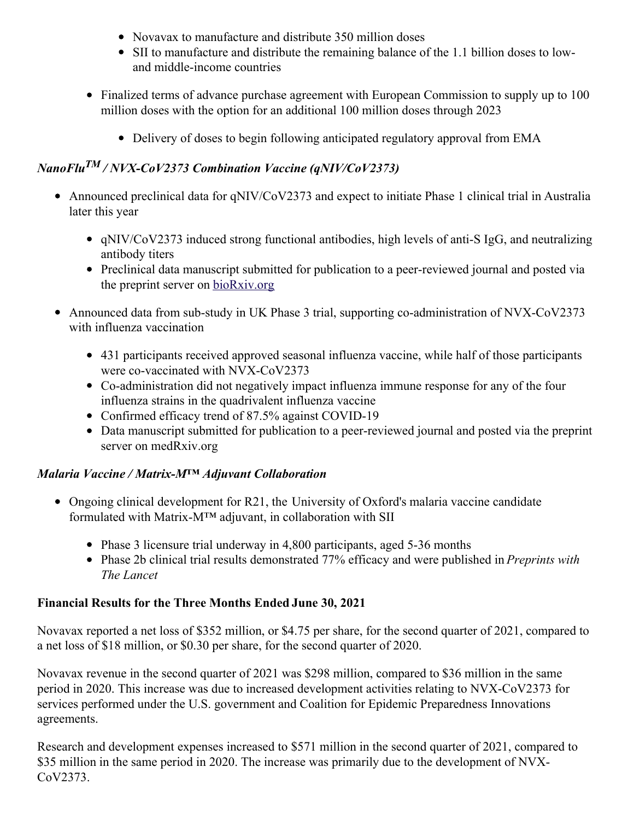- Novavax to manufacture and distribute 350 million doses
- SII to manufacture and distribute the remaining balance of the 1.1 billion doses to lowand middle-income countries
- Finalized terms of advance purchase agreement with European Commission to supply up to 100 million doses with the option for an additional 100 million doses through 2023
	- Delivery of doses to begin following anticipated regulatory approval from EMA

# *NanoFlu TM / NVX-CoV2373 Combination Vaccine (qNIV/CoV2373)*

- Announced preclinical data for qNIV/CoV2373 and expect to initiate Phase 1 clinical trial in Australia later this year
	- qNIV/CoV2373 induced strong functional antibodies, high levels of anti-S IgG, and neutralizing antibody titers
	- Preclinical data manuscript submitted for publication to a peer-reviewed journal and posted via the preprint server on [bioRxiv.org](https://c212.net/c/link/?t=0&l=en&o=3251498-1&h=2733623176&u=https%3A%2F%2Fc212.net%2Fc%2Flink%2F%3Ft%3D0%26l%3Den%26o%3D3158017-1%26h%3D3077450631%26u%3Dhttps%253A%252F%252Fwww.biorxiv.org%252F%26a%3DbioRxiv.org&a=bioRxiv.org)
- Announced data from sub-study in UK Phase 3 trial, supporting co-administration of NVX-CoV2373 with influenza vaccination
	- 431 participants received approved seasonal influenza vaccine, while half of those participants were co-vaccinated with NVX-CoV2373
	- Co-administration did not negatively impact influenza immune response for any of the four influenza strains in the quadrivalent influenza vaccine
	- Confirmed efficacy trend of 87.5% against COVID-19
	- Data manuscript submitted for publication to a peer-reviewed journal and posted via the preprint server on medRxiv.org

### *Malaria Vaccine / Matrix-M™ Adjuvant Collaboration*

- Ongoing clinical development for R21, the University of Oxford's malaria vaccine candidate formulated with Matrix-M™ adjuvant, in collaboration with SII
	- Phase 3 licensure trial underway in 4,800 participants, aged 5-36 months
	- Phase 2b clinical trial results demonstrated 77% efficacy and were published in *Preprints with The Lancet*

# **Financial Results for the Three Months Ended June 30, 2021**

Novavax reported a net loss of \$352 million, or \$4.75 per share, for the second quarter of 2021, compared to a net loss of \$18 million, or \$0.30 per share, for the second quarter of 2020.

Novavax revenue in the second quarter of 2021 was \$298 million, compared to \$36 million in the same period in 2020. This increase was due to increased development activities relating to NVX-CoV2373 for services performed under the U.S. government and Coalition for Epidemic Preparedness Innovations agreements.

Research and development expenses increased to \$571 million in the second quarter of 2021, compared to \$35 million in the same period in 2020. The increase was primarily due to the development of NVX-CoV2373.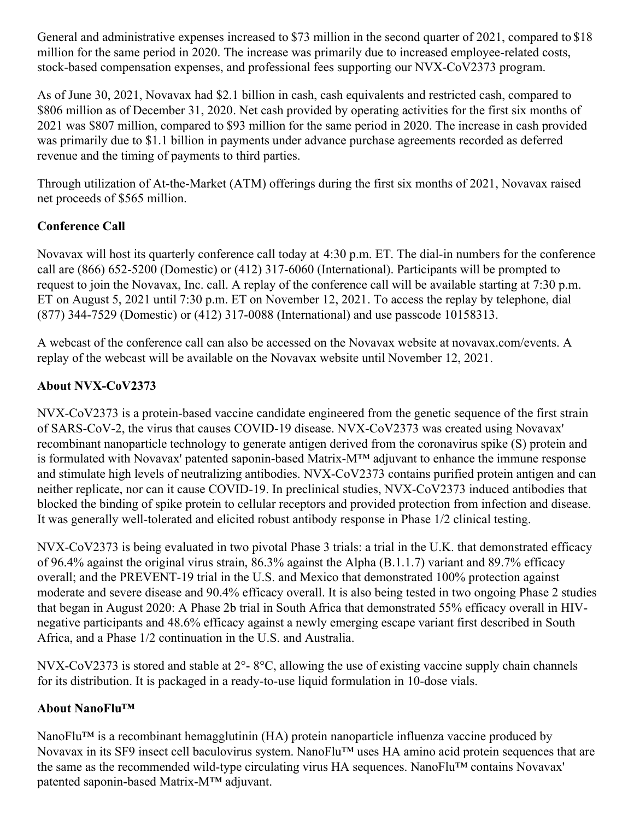General and administrative expenses increased to \$73 million in the second quarter of 2021, compared to \$18 million for the same period in 2020. The increase was primarily due to increased employee-related costs, stock-based compensation expenses, and professional fees supporting our NVX-CoV2373 program.

As of June 30, 2021, Novavax had \$2.1 billion in cash, cash equivalents and restricted cash, compared to \$806 million as of December 31, 2020. Net cash provided by operating activities for the first six months of 2021 was \$807 million, compared to \$93 million for the same period in 2020. The increase in cash provided was primarily due to \$1.1 billion in payments under advance purchase agreements recorded as deferred revenue and the timing of payments to third parties.

Through utilization of At-the-Market (ATM) offerings during the first six months of 2021, Novavax raised net proceeds of \$565 million.

### **Conference Call**

Novavax will host its quarterly conference call today at 4:30 p.m. ET. The dial-in numbers for the conference call are (866) 652-5200 (Domestic) or (412) 317-6060 (International). Participants will be prompted to request to join the Novavax, Inc. call. A replay of the conference call will be available starting at 7:30 p.m. ET on August 5, 2021 until 7:30 p.m. ET on November 12, 2021. To access the replay by telephone, dial (877) 344-7529 (Domestic) or (412) 317-0088 (International) and use passcode 10158313.

A webcast of the conference call can also be accessed on the Novavax website at novavax.com/events. A replay of the webcast will be available on the Novavax website until November 12, 2021.

# **About NVX-CoV2373**

NVX-CoV2373 is a protein-based vaccine candidate engineered from the genetic sequence of the first strain of SARS-CoV-2, the virus that causes COVID-19 disease. NVX-CoV2373 was created using Novavax' recombinant nanoparticle technology to generate antigen derived from the coronavirus spike (S) protein and is formulated with Novavax' patented saponin-based Matrix-M™ adjuvant to enhance the immune response and stimulate high levels of neutralizing antibodies. NVX-CoV2373 contains purified protein antigen and can neither replicate, nor can it cause COVID-19. In preclinical studies, NVX-CoV2373 induced antibodies that blocked the binding of spike protein to cellular receptors and provided protection from infection and disease. It was generally well-tolerated and elicited robust antibody response in Phase 1/2 clinical testing.

NVX-CoV2373 is being evaluated in two pivotal Phase 3 trials: a trial in the U.K. that demonstrated efficacy of 96.4% against the original virus strain, 86.3% against the Alpha (B.1.1.7) variant and 89.7% efficacy overall; and the PREVENT-19 trial in the U.S. and Mexico that demonstrated 100% protection against moderate and severe disease and 90.4% efficacy overall. It is also being tested in two ongoing Phase 2 studies that began in August 2020: A Phase 2b trial in South Africa that demonstrated 55% efficacy overall in HIVnegative participants and 48.6% efficacy against a newly emerging escape variant first described in South Africa, and a Phase 1/2 continuation in the U.S. and Australia.

NVX-CoV2373 is stored and stable at 2°- 8°C, allowing the use of existing vaccine supply chain channels for its distribution. It is packaged in a ready-to-use liquid formulation in 10-dose vials.

# **About NanoFlu™**

NanoFlu™ is a recombinant hemagglutinin (HA) protein nanoparticle influenza vaccine produced by Novavax in its SF9 insect cell baculovirus system. NanoFlu™ uses HA amino acid protein sequences that are the same as the recommended wild-type circulating virus HA sequences. NanoFlu™ contains Novavax' patented saponin-based Matrix-M™ adjuvant.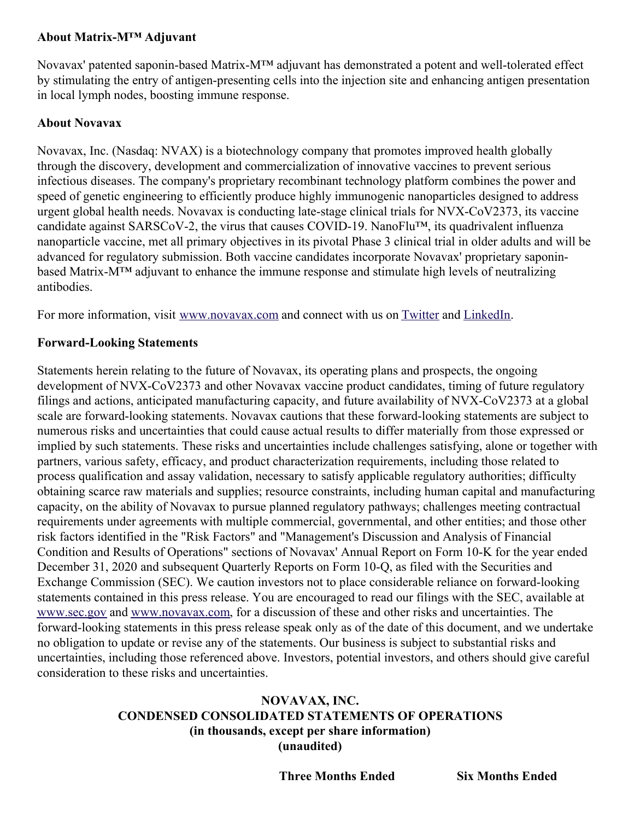### **About Matrix-M™ Adjuvant**

Novavax' patented saponin-based Matrix-M™ adjuvant has demonstrated a potent and well-tolerated effect by stimulating the entry of antigen-presenting cells into the injection site and enhancing antigen presentation in local lymph nodes, boosting immune response.

#### **About Novavax**

Novavax, Inc. (Nasdaq: NVAX) is a biotechnology company that promotes improved health globally through the discovery, development and commercialization of innovative vaccines to prevent serious infectious diseases. The company's proprietary recombinant technology platform combines the power and speed of genetic engineering to efficiently produce highly immunogenic nanoparticles designed to address urgent global health needs. Novavax is conducting late-stage clinical trials for NVX-CoV2373, its vaccine candidate against SARSCoV-2, the virus that causes COVID-19. NanoFlu™, its quadrivalent influenza nanoparticle vaccine, met all primary objectives in its pivotal Phase 3 clinical trial in older adults and will be advanced for regulatory submission. Both vaccine candidates incorporate Novavax' proprietary saponinbased Matrix-M™ adjuvant to enhance the immune response and stimulate high levels of neutralizing antibodies.

For more information, visit [www.novavax.com](https://c212.net/c/link/?t=0&l=en&o=3251498-1&h=933304225&u=https%3A%2F%2Fwww.novavax.com%2F&a=www.novavax.com) and connect with us on [Twitter](https://c212.net/c/link/?t=0&l=en&o=3251498-1&h=3473559103&u=https%3A%2F%2Ftwitter.com%2FNovavax&a=Twitter) and [LinkedIn](https://c212.net/c/link/?t=0&l=en&o=3251498-1&h=477097306&u=https%3A%2F%2Fwww.linkedin.com%2Fcompany%2Fnovavax%2Fmycompany%2F&a=LinkedIn).

#### **Forward-Looking Statements**

Statements herein relating to the future of Novavax, its operating plans and prospects, the ongoing development of NVX-CoV2373 and other Novavax vaccine product candidates, timing of future regulatory filings and actions, anticipated manufacturing capacity, and future availability of NVX-CoV2373 at a global scale are forward-looking statements. Novavax cautions that these forward-looking statements are subject to numerous risks and uncertainties that could cause actual results to differ materially from those expressed or implied by such statements. These risks and uncertainties include challenges satisfying, alone or together with partners, various safety, efficacy, and product characterization requirements, including those related to process qualification and assay validation, necessary to satisfy applicable regulatory authorities; difficulty obtaining scarce raw materials and supplies; resource constraints, including human capital and manufacturing capacity, on the ability of Novavax to pursue planned regulatory pathways; challenges meeting contractual requirements under agreements with multiple commercial, governmental, and other entities; and those other risk factors identified in the "Risk Factors" and "Management's Discussion and Analysis of Financial Condition and Results of Operations" sections of Novavax' Annual Report on Form 10-K for the year ended December 31, 2020 and subsequent Quarterly Reports on Form 10-Q, as filed with the Securities and Exchange Commission (SEC). We caution investors not to place considerable reliance on forward-looking statements contained in this press release. You are encouraged to read our filings with the SEC, available at [www.sec.gov](https://c212.net/c/link/?t=0&l=en&o=3251498-1&h=740644729&u=http%3A%2F%2Fwww.sec.gov%2F&a=www.sec.gov) and [www.novavax.com](https://c212.net/c/link/?t=0&l=en&o=3251498-1&h=689900521&u=http%3A%2F%2Fwww.novavax.com%2F&a=www.novavax.com), for a discussion of these and other risks and uncertainties. The forward-looking statements in this press release speak only as of the date of this document, and we undertake no obligation to update or revise any of the statements. Our business is subject to substantial risks and uncertainties, including those referenced above. Investors, potential investors, and others should give careful consideration to these risks and uncertainties.

### **NOVAVAX, INC. CONDENSED CONSOLIDATED STATEMENTS OF OPERATIONS (in thousands, except per share information) (unaudited)**

**Three Months Ended Six Months Ended**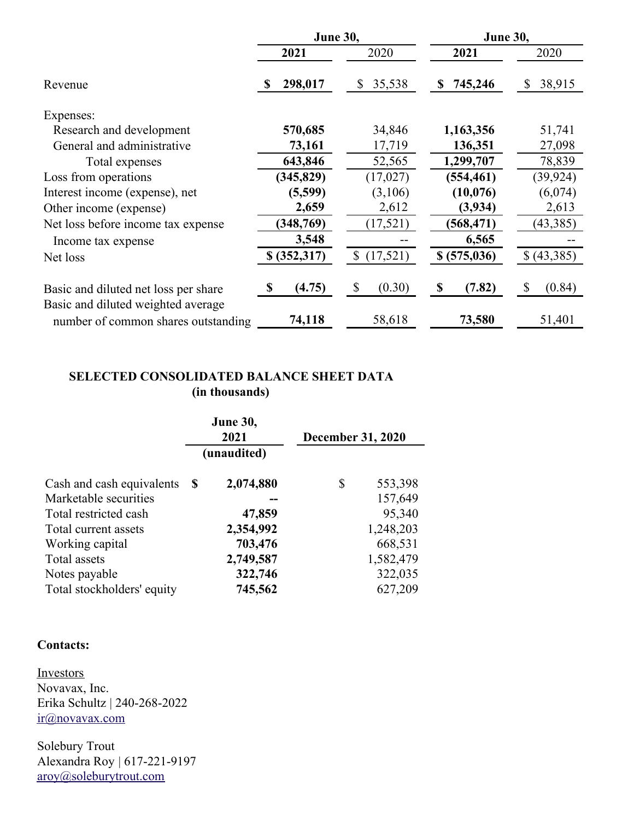|                                                                            | June 30,                |                | June 30,      |              |
|----------------------------------------------------------------------------|-------------------------|----------------|---------------|--------------|
|                                                                            | 2021                    | 2020           | 2021          | 2020         |
| Revenue                                                                    | 298,017<br>-S           | 35,538<br>\$   | 745,246<br>\$ | 38,915<br>S  |
| Expenses:                                                                  |                         |                |               |              |
| Research and development                                                   | 570,685                 | 34,846         | 1,163,356     | 51,741       |
| General and administrative                                                 | 73,161                  | 17,719         | 136,351       | 27,098       |
| Total expenses                                                             | 643,846                 | 52,565         | 1,299,707     | 78,839       |
| Loss from operations                                                       | (345, 829)              | (17, 027)      | (554, 461)    | (39, 924)    |
| Interest income (expense), net                                             | (5,599)                 | (3,106)        | (10,076)      | (6,074)      |
| Other income (expense)                                                     | 2,659                   | 2,612          | (3,934)       | 2,613        |
| Net loss before income tax expense                                         | (348, 769)              | (17, 521)      | (568, 471)    | (43, 385)    |
| Income tax expense                                                         | 3,548                   |                | 6,565         |              |
| Net loss                                                                   | \$ (352,317)            | (17,521)<br>\$ | \$ (575,036)  | \$(43,385)   |
| Basic and diluted net loss per share<br>Basic and diluted weighted average | (4.75)<br>$\mathbf{\$}$ | \$<br>(0.30)   | S<br>(7.82)   | (0.84)<br>\$ |
| number of common shares outstanding                                        | 74,118                  | 58,618         | 73,580        | 51,401       |

### **SELECTED CONSOLIDATED BALANCE SHEET DATA (in thousands)**

|                            | <b>June 30,</b><br>2021<br>(unaudited) |           | <b>December 31, 2020</b> |           |
|----------------------------|----------------------------------------|-----------|--------------------------|-----------|
| Cash and cash equivalents  | S                                      | 2,074,880 | \$                       | 553,398   |
| Marketable securities      |                                        |           |                          | 157,649   |
| Total restricted cash      |                                        | 47,859    |                          | 95,340    |
| Total current assets       |                                        | 2,354,992 |                          | 1,248,203 |
| Working capital            |                                        | 703,476   |                          | 668,531   |
| Total assets               |                                        | 2,749,587 |                          | 1,582,479 |
| Notes payable              |                                        | 322,746   |                          | 322,035   |
| Total stockholders' equity |                                        | 745,562   |                          | 627,209   |

### **Contacts:**

**Investors** Novavax, Inc. Erika Schultz | 240-268-2022 [ir@novavax.com](mailto:ir@novavax.com)

Solebury Trout Alexandra Roy | 617-221-9197 [aroy@soleburytrout.com](mailto:aroy@soleburytrout.com)